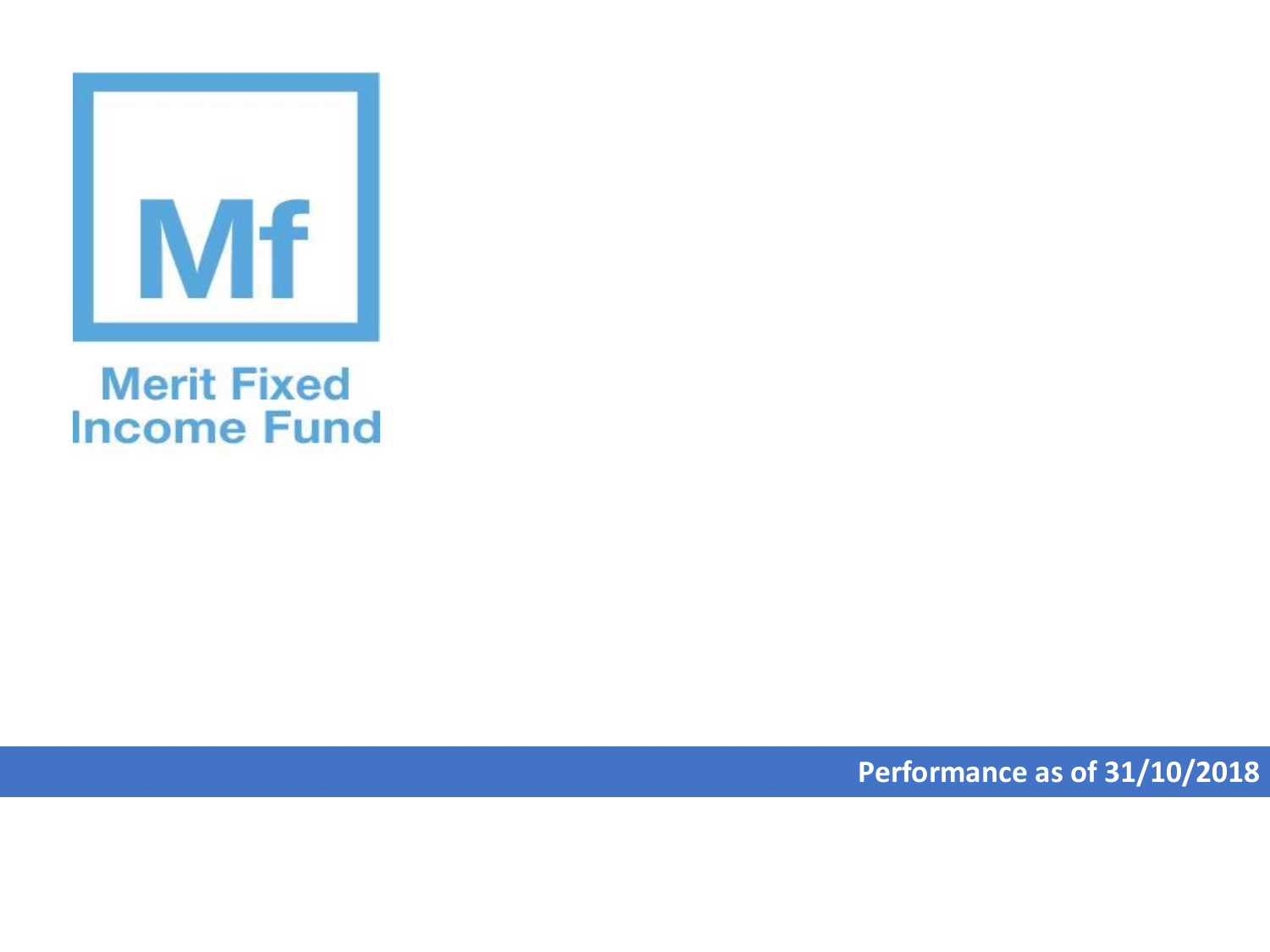

## **Merit Fixed Income Fund**

**Performance as of 31/10/2018**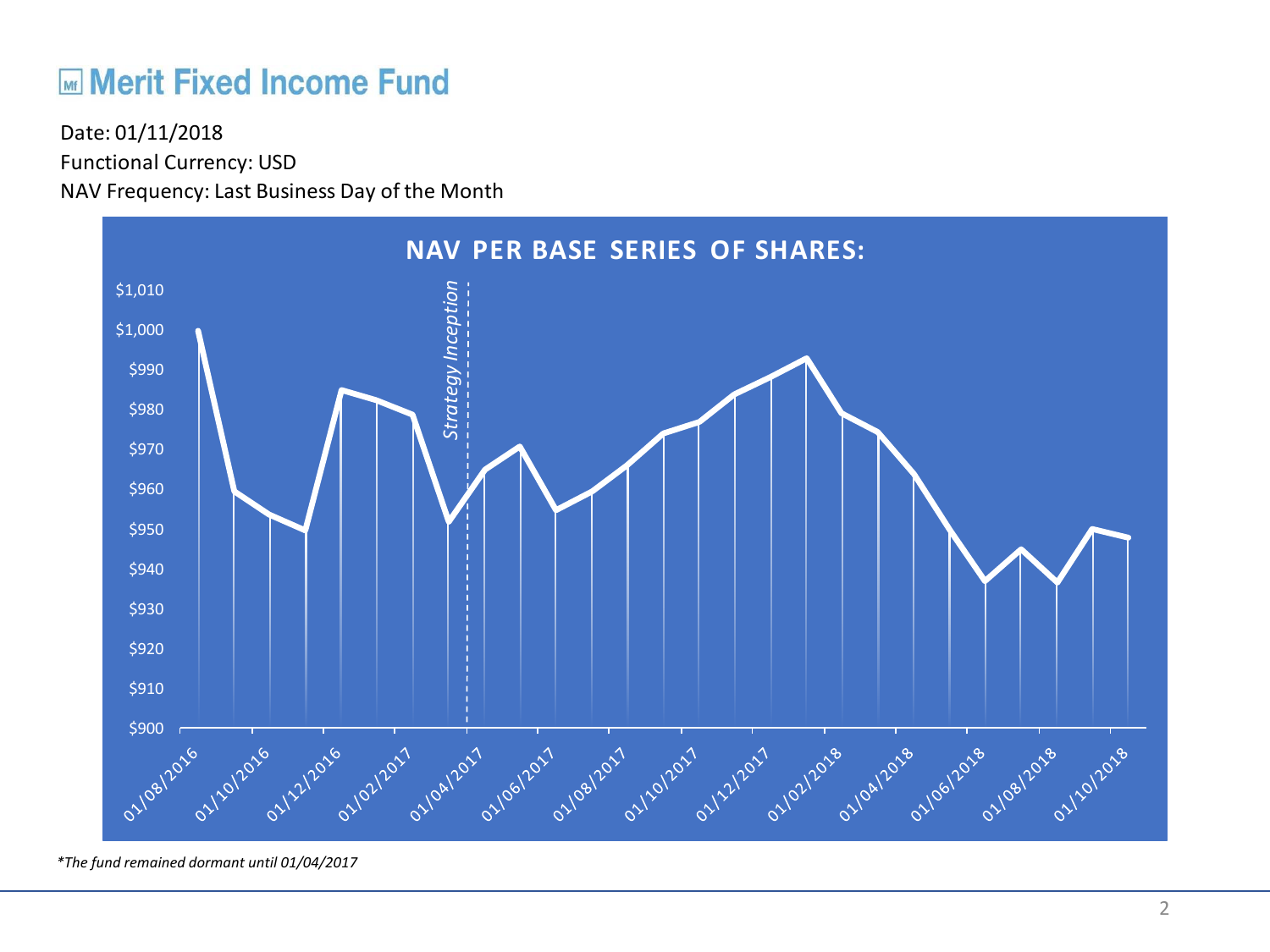## **ME Merit Fixed Income Fund**

Functional Currency: USD NAV Frequency: Last Business Day of the Month